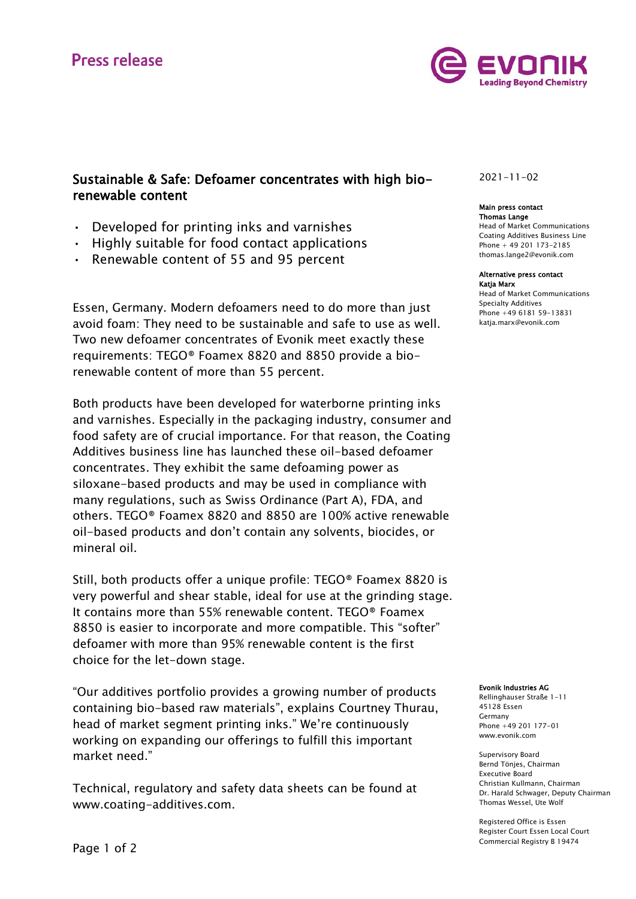

## Sustainable & Safe: Defoamer concentrates with high biorenewable content

- Developed for printing inks and varnishes
- Highly suitable for food contact applications
- Renewable content of 55 and 95 percent

Essen, Germany. Modern defoamers need to do more than just avoid foam: They need to be sustainable and safe to use as well. Two new defoamer concentrates of Evonik meet exactly these requirements: TEGO® Foamex 8820 and 8850 provide a biorenewable content of more than 55 percent.

Both products have been developed for waterborne printing inks and varnishes. Especially in the packaging industry, consumer and food safety are of crucial importance. For that reason, the Coating Additives business line has launched these oil-based defoamer concentrates. They exhibit the same defoaming power as siloxane-based products and may be used in compliance with many regulations, such as Swiss Ordinance (Part A), FDA, and others. TEGO® Foamex 8820 and 8850 are 100% active renewable oil-based products and don't contain any solvents, biocides, or mineral oil.

Still, both products offer a unique profile: TEGO® Foamex 8820 is very powerful and shear stable, ideal for use at the grinding stage. It contains more than 55% renewable content. TEGO® Foamex 8850 is easier to incorporate and more compatible. This "softer" defoamer with more than 95% renewable content is the first choice for the let-down stage.

"Our additives portfolio provides a growing number of products containing bio-based raw materials", explains Courtney Thurau, head of market segment printing inks." We're continuously working on expanding our offerings to fulfill this important market need."

Technical, regulatory and safety data sheets can be found at www.coating-additives.com.

### 2021-11-02

#### Main press contact Thomas Lange

Head of Market Communications Coating Additives Business Line Phone + 49 201 173-2185 thomas.lange2@evonik.com

#### Alternative press contact Katja Marx

Head of Market Communications Specialty Additives Phone +49 6181 59-13831 katja.marx@evonik.com

#### Evonik Industries AG

Rellinghauser Straße 1-11 45128 Essen Germany Phone +49 201 177-01 www.evonik.com

Supervisory Board Bernd Tönjes, Chairman Executive Board Christian Kullmann, Chairman Dr. Harald Schwager, Deputy Chairman Thomas Wessel, Ute Wolf

Registered Office is Essen Register Court Essen Local Court Commercial Registry B 19474